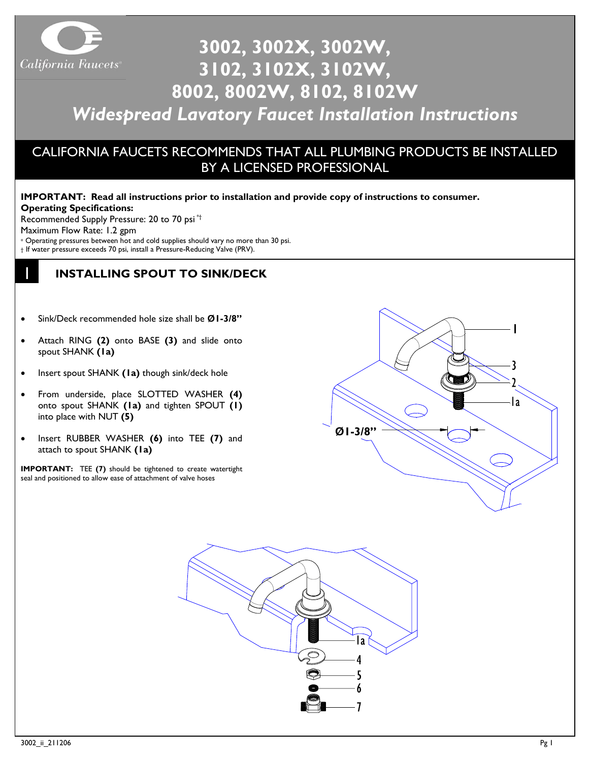

# **3002, 3002X, 3002W, 3102, 3102X, 3102W, 8002, 8002W, 8102, 8102W**

# *Widespread Lavatory Faucet Installation Instructions*

# CALIFORNIA FAUCETS RECOMMENDS THAT ALL PLUMBING PRODUCTS BE INSTALLED BY A LICENSED PROFESSIONAL

#### **IMPORTANT: Read all instructions prior to installation and provide copy of instructions to consumer. Operating Specifications:**

Recommended Supply Pressure: 20 to 70 psi \*†

Maximum Flow Rate: 1.2 gpm

1

- \* Operating pressures between hot and cold supplies should vary no more than 30 psi.
- † If water pressure exceeds 70 psi, install a Pressure-Reducing Valve (PRV).

## **INSTALLING SPOUT TO SINK/DECK**

- Sink/Deck recommended hole size shall be **Ø1-3/8"**
- Attach RING **(2)** onto BASE **(3)** and slide onto spout SHANK **(1a)**
- Insert spout SHANK **(1a)** though sink/deck hole
- From underside, place SLOTTED WASHER **(4)**  onto spout SHANK **(1a)** and tighten SPOUT **(1)** into place with NUT **(5)**
- Insert RUBBER WASHER **(6)** into TEE **(7)** and attach to spout SHANK **(1a)**

**IMPORTANT:** TEE **(7)** should be tightened to create watertight seal and positioned to allow ease of attachment of valve hoses



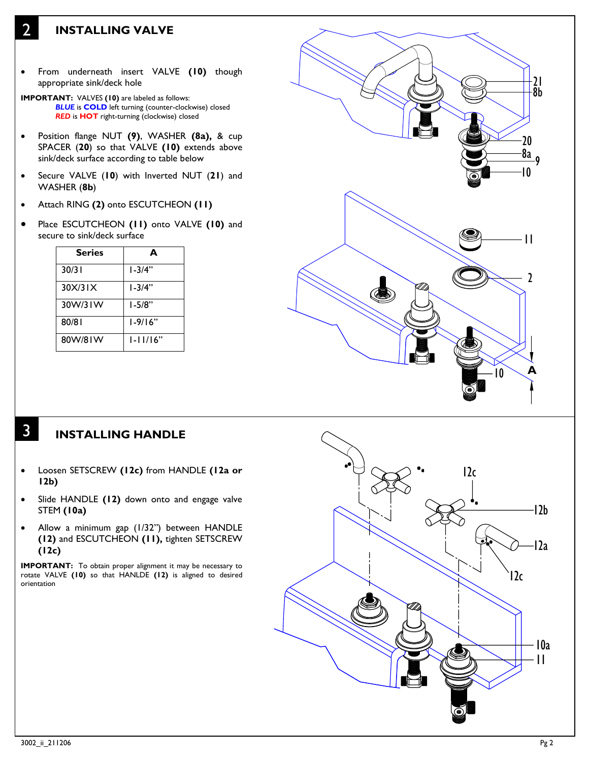## **INSTALLING VALVE**

2

- From underneath insert VALVE **(10)** though appropriate sink/deck hole
- **IMPORTANT:** VALVES **(10)** are labeled as follows: *BLUE* is **COLD** left turning (counter-clockwise) closed *RED* is **HOT** right-turning (clockwise) closed
- Position flange NUT **(9)**, WASHER **(8a),** & cup SPACER (**20**) so that VALVE **(10)** extends above sink/deck surface according to table below
- Secure VALVE (**10**) with Inverted NUT (**21**) and WASHER (**8b**)
- Attach RING **(2)** onto ESCUTCHEON **(11)**
- Place ESCUTCHEON **(11)** onto VALVE **(10)** and secure to sink/deck surface

| <b>Series</b> |              |
|---------------|--------------|
| 30/31         | $1 - 3/4"$   |
| 30X/31X       | I-3/4"       |
| 30W/31W       | $1 - 5/8"$   |
| 80/81         | $1 - 9/16"$  |
| 80W/81W       | $1 - 11/16"$ |



### **INSTALLING HANDLE**

3

- Loosen SETSCREW **(12c)** from HANDLE **(12a or 12b)**
- Slide HANDLE **(12)** down onto and engage valve STEM **(10a)**
- Allow a minimum gap (1/32") between HANDLE **(12)** and ESCUTCHEON **(11),** tighten SETSCREW **(12c)**

**IMPORTANT:** To obtain proper alignment it may be necessary to rotate VALVE **(10)** so that HANLDE **(12)** is aligned to desired orientation

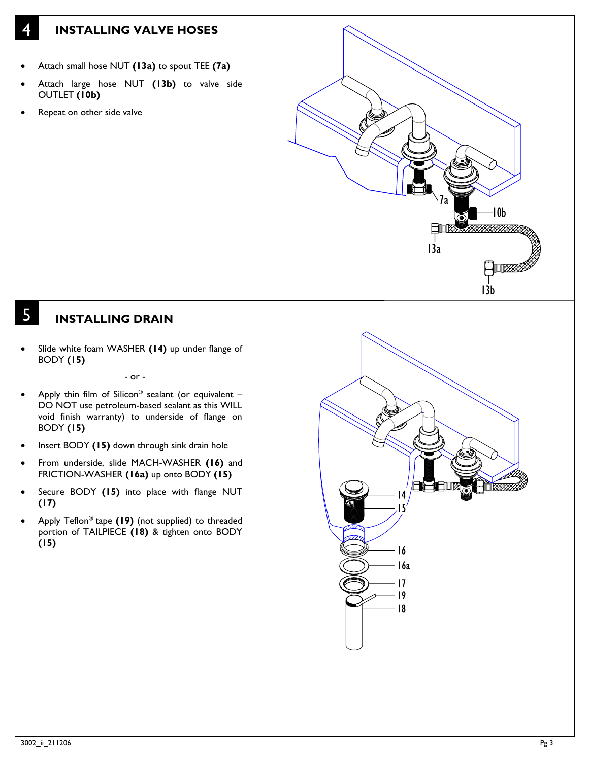### **INSTALLING VALVE HOSES**

- Attach small hose NUT **(13a)** to spout TEE **(7a)**
- Attach large hose NUT **(13b)** to valve side OUTLET **(10b)**
- Repeat on other side valve

4

5



## **INSTALLING DRAIN**

• Slide white foam WASHER **(14)** up under flange of BODY **(15)**

- or -

- Apply thin film of Silicon® sealant (or equivalent -DO NOT use petroleum-based sealant as this WILL void finish warranty) to underside of flange on BODY **(15)**
- Insert BODY **(15)** down through sink drain hole
- From underside, slide MACH-WASHER **(16)** and FRICTION-WASHER **(16a)** up onto BODY **(15)**
- Secure BODY **(15)** into place with flange NUT **(17)**
- Apply Teflon® tape **(19)** (not supplied) to threaded portion of TAILPIECE **(18)** & tighten onto BODY **(15)**